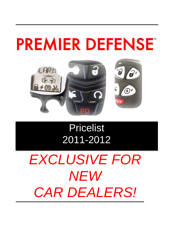# **PREMIER DEFENSE**



## Pricelist 2011-2012

# *EXCLUSIVE FOR NEW CAR DEALERS!*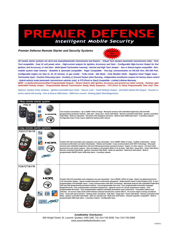### E **Intelligent Mobile Security**

#### *Premier Defense Remote Starter and Security Systems*



*All remote starter systems are all-in-one manual/automatic transmission and feature: - Virtual Tach System (automatic transmission only) - Tech Tool compatible - Dual 12 volt power wires - High-current outputs for Ignition, Accessory and Start - Configurable High-Current Output for 2nd Ignition, 2nd Accessory, or 2nd Start - Multi-Speed Tachometer Learning - Normal and High Tach Jumper - Gas or Diesel engine compatible - Nonvolatile system state memory - iDatalink & Xpresskit compatible - Pager Compatible - Two-way communication on RS-232 Port, INV-200 Port, Configurable engine run time (3, 15, 25 minutes -in gas mode) - Turbo mode - Idle Mode - Cold Weather Mode - Negative Hood Trigger Input - Tachometer Input - Positive Glow-plug Input - Auxiliary (-) Ground Output when Running - Independent arm/disarm outputs for factory alarm control - Hybrid vehicle mode (automatic transmission vehicles only) & PTS (Push to Start) Compatible - Limited Lifetime Warranty* 

*NEW! (-) Ignition/Accessory/Start Programmable Outputs - Disarm feature with ignition, accessory and ground out when running - Parking Light Selectable Polarity Output - Programmable Manual Transmission Ready Mode Sequence - PTS (Push to Start) Programmable Take Over Time*

*Options: Keyless Entry Outputs - Ignition-controlled door locks - Secure Lock - Trunk Release Output - Anti-theft Starter-Kill Output - Passive or active starter-kill arming - Arm & Disarm OEM alarm - OEM horn control - Parking lights flash/diagnostics*

| 1-Way remote starter system                |     |                                                                                                                                                                                                                                                                                                                                                                                                                                                                                                                                                                                                                                                                                                                                                                                                                                                                                                                                                                                                                                                                                                                                                                                                                                                                   |  |  |
|--------------------------------------------|-----|-------------------------------------------------------------------------------------------------------------------------------------------------------------------------------------------------------------------------------------------------------------------------------------------------------------------------------------------------------------------------------------------------------------------------------------------------------------------------------------------------------------------------------------------------------------------------------------------------------------------------------------------------------------------------------------------------------------------------------------------------------------------------------------------------------------------------------------------------------------------------------------------------------------------------------------------------------------------------------------------------------------------------------------------------------------------------------------------------------------------------------------------------------------------------------------------------------------------------------------------------------------------|--|--|
| <b>PD2.8</b>                               | AM  | Two 5-button transmitters - Up to 2200ft / 670m of range - Monopole antenna with embedded bright-blue LED and PAB<br>(programming assistance button) - Safe start - Swap start - Home Valet Mode - Remote controlled Valet Mode - Ignition controlled<br>Valet Mode - Multi-car operation - 5th button with stop/panic functions - Built-in basic OEM-style Alarm - 3 auxiliary outputs* -<br>Configurable input* (*may require additional part(s) and/or labour)                                                                                                                                                                                                                                                                                                                                                                                                                                                                                                                                                                                                                                                                                                                                                                                                 |  |  |
| 2-way remote starter systems<br>PD372TW-FM |     |                                                                                                                                                                                                                                                                                                                                                                                                                                                                                                                                                                                                                                                                                                                                                                                                                                                                                                                                                                                                                                                                                                                                                                                                                                                                   |  |  |
|                                            | 归口尺 | 5-button FM LED transmitter and companion one way transmitter - Up to 3000ft / 900m of range - Audible confirmation - Visual<br>command confirmation via button illumination - Robust and durable - 2-way communication with HDX Technology - Monopole<br>antenna with embedded bright-blue LED and PAB (programming assistance button) - Engine run time request - Constant while<br>pressed lock and unlock outputs - Ultra low battery consumption 924m @ 10 op./day) - Safe Start - Swap Start - Home Valet Mode -<br>Remote controlled Valet Mode - Ignition controlled Valet Mode - Multi-car operation - Multi-level shift button - Built-in<br>programmable ON/OFF basic OEM-style alarm - 3 auxiliary outputs                                                                                                                                                                                                                                                                                                                                                                                                                                                                                                                                            |  |  |
| PD472TW-FM                                 |     |                                                                                                                                                                                                                                                                                                                                                                                                                                                                                                                                                                                                                                                                                                                                                                                                                                                                                                                                                                                                                                                                                                                                                                                                                                                                   |  |  |
|                                            |     | 6-button FM LCD transmitter and companion one way transmitter - Up to 3500ft / 1070m of range - Status via alphanumeric/icon<br>LCD transmitter display - Signal reception/operation confirmation (beep/text) - Bright backlit Liquid Crystal Display (LCD) - 8 user-<br>programmable LCD backlight colors - 2-way communication with HDX Technology - Monopole antenna with embedded bright-blue<br>LED and PAB (programming assistance button) - User-programmable time start - User programmable transmitter language<br>(English/French) - User programmable transmitter keypad lock - Optional sensor for remote temperature readout - User-<br>programmable 6th button - User-programmable red/green backlight illumination upon lock/unlock - Transmitter battery level<br>indicator - On-screen ready mode on/off indicator (manual transmission system ONLY) - On-screen engine running countdown<br>timer - Clock with alarm function - Parking meter countdown - Safe Start - Swap Start - Home Valet Mode - Remote controlled Valet<br>Mode - Ignition controlled Valet Mode - Muti-car operation (2) - Multi-level shift button - Channel expander compatible* - Built-in<br>programmable OEM-style alarm - 3 auxiliary outputs - Configurable input |  |  |

**Auto***Mobility* **Distribution** 400 Wright Street, St. Laurent, Quebec, H4N 1M6 Tel: 514-745-8030 Fax: 514-745-6068 www.automobilitydistribution.com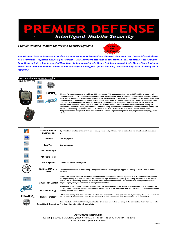#### REMIER DEFENS Intelligent Mobile Security

#### *Premier Defense Remote Starter and Security Systems*



*Alarm Common Features: Passive or active alarm arming - Programmable 2-stage Disarm - Temporary/Permanent Chirp Delete - Selectable siren or horn confirmation - Adjustable siren/horn pulse duration - Siren and/or horn notification of zone intrusion - LED notification of zone intrusion - Panic Mode/car finder - Remote controlled Valet Mode - Ignition controlled Valet Mode - Push-button controlled Valet Mode - Plug-in Dual stage shock sensor - 128dB 6 tone siren - Zone intrusion monitoring with zone bypass - Ignition monitoring - Door monitoring - Trunk monitoring - Hood monitoring*

|                          | 2-way combo alarm starter system        |                                                                                                                                                                                                                                                                                                                                                                                                                                                                                                                                                                                                                                                                                                                                                                                                                                                                                                                                                                                                                                                                                                                                                                                                 |
|--------------------------|-----------------------------------------|-------------------------------------------------------------------------------------------------------------------------------------------------------------------------------------------------------------------------------------------------------------------------------------------------------------------------------------------------------------------------------------------------------------------------------------------------------------------------------------------------------------------------------------------------------------------------------------------------------------------------------------------------------------------------------------------------------------------------------------------------------------------------------------------------------------------------------------------------------------------------------------------------------------------------------------------------------------------------------------------------------------------------------------------------------------------------------------------------------------------------------------------------------------------------------------------------|
| <i><b>PD870TW-FM</b></i> |                                         | 6-button FM LCD transmitter chargeable via USB - Companion FM 5-button transmitter - Up to 3500ft / 1070m of range - 2-Way<br>communication with HDX Technology - Monopole antenna with embedded bright blue LED - Status via 6 alphanumeric characters<br>and icon LCD transmitter display - Bright backlit Liquid Crystal Display (LCD) - 8 User-programmable LCD backlight colors - Signal<br>reception/operation confirmation (beep/text) - Alarm notification paging by custom chime or vibrate mode - User-programmable<br>time start - User-programmable transmitter language (English/French) - User-programmable transmitter keypad lock - User-<br>programmable 6th button (Temp, Stop, Aux, Panic, Cold Weather mode) - Passenger compartment temperature display via<br>transmitter* - Transmitter battery level indicator - On-screen ready mode on/off indicator (manual transmission models only) - On-<br>screen engine running countdown timer - Clock with alarm function - Parking meter countdown - Remote control locator -<br>Temperature sensor compatible* - Multi-level shift button - Channel expander compatible* (*may require additional part(s) and/or<br>labour) |
|                          | <b>Manual/Automatic</b><br>transmission | By default in manual transmission but can be changed very easily at the moment of installation into an automatic transmission<br>unit.                                                                                                                                                                                                                                                                                                                                                                                                                                                                                                                                                                                                                                                                                                                                                                                                                                                                                                                                                                                                                                                          |
|                          | One Way                                 | One Way System                                                                                                                                                                                                                                                                                                                                                                                                                                                                                                                                                                                                                                                                                                                                                                                                                                                                                                                                                                                                                                                                                                                                                                                  |
|                          | <b>Two Way</b>                          | Two way system                                                                                                                                                                                                                                                                                                                                                                                                                                                                                                                                                                                                                                                                                                                                                                                                                                                                                                                                                                                                                                                                                                                                                                                  |
| FM                       | <b>FM Technology</b>                    |                                                                                                                                                                                                                                                                                                                                                                                                                                                                                                                                                                                                                                                                                                                                                                                                                                                                                                                                                                                                                                                                                                                                                                                                 |
| m                        | <b>AM Technology</b>                    |                                                                                                                                                                                                                                                                                                                                                                                                                                                                                                                                                                                                                                                                                                                                                                                                                                                                                                                                                                                                                                                                                                                                                                                                 |
|                          | <b>Alarm System</b>                     | Includes full feature alarm system                                                                                                                                                                                                                                                                                                                                                                                                                                                                                                                                                                                                                                                                                                                                                                                                                                                                                                                                                                                                                                                                                                                                                              |
|                          | Built-in, OEM-style<br>alarm            | Uses the door and hood switches along with ignition sense as alarm triggers; if tripped, the factory horn will act as an audible<br>deterrent.                                                                                                                                                                                                                                                                                                                                                                                                                                                                                                                                                                                                                                                                                                                                                                                                                                                                                                                                                                                                                                                  |
|                          | <b>Virtual Tach System</b>              | Virtual Tach System combines the latest microcontroller technology and a complex algorithm. VTS is able to effectively monitor<br>the engine starting sequence and release the starter at the right time without physically connecting the tach wire to the remote<br>starter. The VTS constantly monitors the data and readjusts itself automatically in order to maximize its capability to start the<br>engine properly in any weather or deteriorating battery condition.                                                                                                                                                                                                                                                                                                                                                                                                                                                                                                                                                                                                                                                                                                                   |
|                          | <b>HDX Technology</b>                   | Featured on all TW systems. This technology allows the transceiver to send and receive data at the same time, almost like a full<br>duplex system. This translates into getting the maximum range from the RF systems with much faster confirmation than any other<br>two-way systems on the market.                                                                                                                                                                                                                                                                                                                                                                                                                                                                                                                                                                                                                                                                                                                                                                                                                                                                                            |
| りロト                      | <b>HDR Technology</b>                   | HDR stands for High Data Rate - one of the most advanced transmitter coding systems ever. By increasing the speed of which the<br>data is modulated on the carrier from the remote control, short but powerful bursts of information can be transmitted.                                                                                                                                                                                                                                                                                                                                                                                                                                                                                                                                                                                                                                                                                                                                                                                                                                                                                                                                        |
|                          |                                         | Combine starter with Smart Start unit, download the Smart start application and enjoy all the features that Smart Start has to offer<br>Smart Start Compatible (see Smart Start pricelist for full feature list).                                                                                                                                                                                                                                                                                                                                                                                                                                                                                                                                                                                                                                                                                                                                                                                                                                                                                                                                                                               |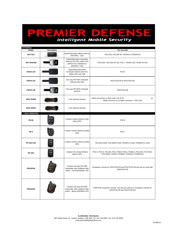## REMIER DEFENSE P

| <b>ANTENNAS</b>      |                    |                                                                                                     |                                                                                                                   |
|----------------------|--------------------|-----------------------------------------------------------------------------------------------------|-------------------------------------------------------------------------------------------------------------------|
| Model                | <b>Description</b> |                                                                                                     | For use with                                                                                                      |
| ANT-SH1              | $SH-1$             | Superheterodyne dipole antenna<br>(303 Mhz) - 3 pin                                                 | PD2.5SH, PD2.5M SH, PD3SHv2, PD3MSHv2                                                                             |
| ANT-SH433M           |                    | Superheterodyne monopole<br>antenna 433 mhz w/blue LED<br>(SH433-101 embeded on<br>antenna) - 4 pin | PD2.5iSH, PD2.5iM SH-433, PD2.7, PD3SH-433, PD3M SH-433                                                           |
| SH433-120            |                    | Superheterodyne HDR<br>monopole antenna 433 mhz<br>w/blue LED and PAB                               | PD2.8                                                                                                             |
| <b>FMTW-130</b>      |                    | Two way FM HDR monopole<br>antenna with PAB                                                         | PD372TW-FM & PD472TW-FM                                                                                           |
| <b>FMTW-140</b>      |                    | Two way FM HDR monopole<br>antenna                                                                  | PD870TW-FM                                                                                                        |
| A001-SH000           |                    | 3 pin antenna harness                                                                               | White connectors on both ends= SH & R1<br>(1)<br>White connector & (1) black connector = $FM$ & AM                |
| A001-SH001           |                    | 4 pin antenna harness                                                                               |                                                                                                                   |
| <b>1 WAY REMOTES</b> |                    |                                                                                                     |                                                                                                                   |
| <b>PR-85</b>         |                    | 5 button remote 433mhz HDR<br>(blue LED)                                                            | PD2.8                                                                                                             |
| <b>PR-5</b>          |                    | 5 button remote 433mhz (amber<br>LED)                                                               | PD2.7                                                                                                             |
| <b>PR 4SH-433</b>    | - 1<br>181 00      | 4 button remote 433mhz (amber<br>LED)                                                               | PD2.5SH (433), PD2.5MSH (433), PD3SHv.2 (433), PD3MSHv.2 (433)                                                    |
| PR 4SH               |                    | 4 button SH remote 303mhz<br>(green LED)                                                            | PD2.5, PD2.5I, PD2.5M, PD3, PD3M, PD3v2, PD3Mv2, PD2.5SH, PD2.5ISH,<br>PD2.5MSH, PD3SH, PD3MSH, PD3SHv2, PD3MSHv2 |
| <b>PR425OW</b>       |                    | 5 button one way FM HDR<br>transmitter with multilevel shift<br>button - mat finish/amber LED       | Companion remote for PD372TW-FM and PD472TW-FM and can be used with<br>PD870TW-FM                                 |
| <b>PR525OW</b>       |                    | 5 button one way FM HDR<br>transmitter with multilevel shift<br>button - glossy finish/blue LED     | PD870TW companion remote. Can also be used as a companion remote for<br>PD372TW-FM and PD472TW-FM                 |